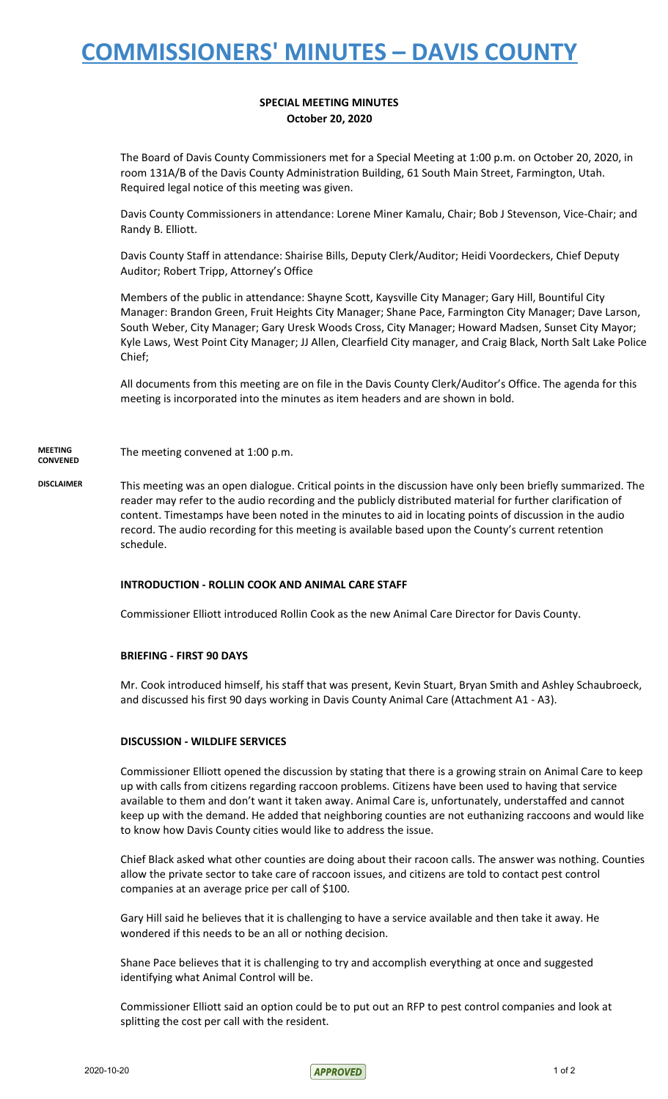# **COMMISSIONERS' MINUTES – DAVIS COUNTY**

### **SPECIAL MEETING MINUTES October 20, 2020**

The Board of Davis County Commissioners met for a Special Meeting at 1:00 p.m. on October 20, 2020, in room 131A/B of the Davis County Administration Building, 61 South Main Street, Farmington, Utah. Required legal notice of this meeting was given.

Davis County Commissioners in attendance: Lorene Miner Kamalu, Chair; Bob J Stevenson, Vice-Chair; and Randy B. Elliott.

Davis County Staff in attendance: Shairise Bills, Deputy Clerk/Auditor; Heidi Voordeckers, Chief Deputy Auditor; Robert Tripp, Attorney's Office

Members of the public in attendance: Shayne Scott, Kaysville City Manager; Gary Hill, Bountiful City Manager: Brandon Green, Fruit Heights City Manager; Shane Pace, Farmington City Manager; Dave Larson, South Weber, City Manager; Gary Uresk Woods Cross, City Manager; Howard Madsen, Sunset City Mayor; Kyle Laws, West Point City Manager; JJ Allen, Clearfield City manager, and Craig Black, North Salt Lake Police Chief;

All documents from this meeting are on file in the Davis County Clerk/Auditor's Office. The agenda for this meeting is incorporated into the minutes as item headers and are shown in bold.

**MEETING CONVENED** The meeting convened at 1:00 p.m.

**DISCLAIMER** This meeting was an open dialogue. Critical points in the discussion have only been briefly summarized. The reader may refer to the audio recording and the publicly distributed material for further clarification of content. Timestamps have been noted in the minutes to aid in locating points of discussion in the audio record. The audio recording for this meeting is available based upon the County's current retention schedule.

#### **INTRODUCTION - ROLLIN COOK AND ANIMAL CARE STAFF**

Commissioner Elliott introduced Rollin Cook as the new Animal Care Director for Davis County.

#### **BRIEFING - FIRST 90 DAYS**

Mr. Cook introduced himself, his staff that was present, Kevin Stuart, Bryan Smith and Ashley Schaubroeck, and discussed his first 90 days working in Davis County Animal Care (Attachment A1 - A3).

#### **DISCUSSION - WILDLIFE SERVICES**

Commissioner Elliott opened the discussion by stating that there is a growing strain on Animal Care to keep up with calls from citizens regarding raccoon problems. Citizens have been used to having that service available to them and don't want it taken away. Animal Care is, unfortunately, understaffed and cannot keep up with the demand. He added that neighboring counties are not euthanizing raccoons and would like to know how Davis County cities would like to address the issue.

Chief Black asked what other counties are doing about their racoon calls. The answer was nothing. Counties allow the private sector to take care of raccoon issues, and citizens are told to contact pest control companies at an average price per call of \$100.

Gary Hill said he believes that it is challenging to have a service available and then take it away. He wondered if this needs to be an all or nothing decision.

Shane Pace believes that it is challenging to try and accomplish everything at once and suggested identifying what Animal Control will be.

Commissioner Elliott said an option could be to put out an RFP to pest control companies and look at splitting the cost per call with the resident.